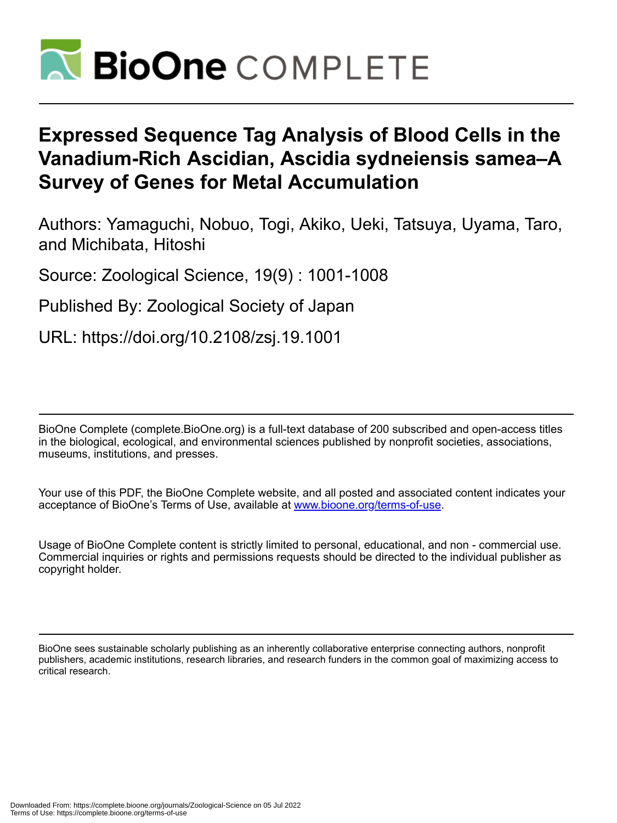

# **Expressed Sequence Tag Analysis of Blood Cells in the Vanadium-Rich Ascidian, Ascidia sydneiensis samea–A Survey of Genes for Metal Accumulation**

Authors: Yamaguchi, Nobuo, Togi, Akiko, Ueki, Tatsuya, Uyama, Taro, and Michibata, Hitoshi

Source: Zoological Science, 19(9) : 1001-1008

Published By: Zoological Society of Japan

URL: https://doi.org/10.2108/zsj.19.1001

BioOne Complete (complete.BioOne.org) is a full-text database of 200 subscribed and open-access titles in the biological, ecological, and environmental sciences published by nonprofit societies, associations, museums, institutions, and presses.

Your use of this PDF, the BioOne Complete website, and all posted and associated content indicates your acceptance of BioOne's Terms of Use, available at www.bioone.org/terms-of-use.

Usage of BioOne Complete content is strictly limited to personal, educational, and non - commercial use. Commercial inquiries or rights and permissions requests should be directed to the individual publisher as copyright holder.

BioOne sees sustainable scholarly publishing as an inherently collaborative enterprise connecting authors, nonprofit publishers, academic institutions, research libraries, and research funders in the common goal of maximizing access to critical research.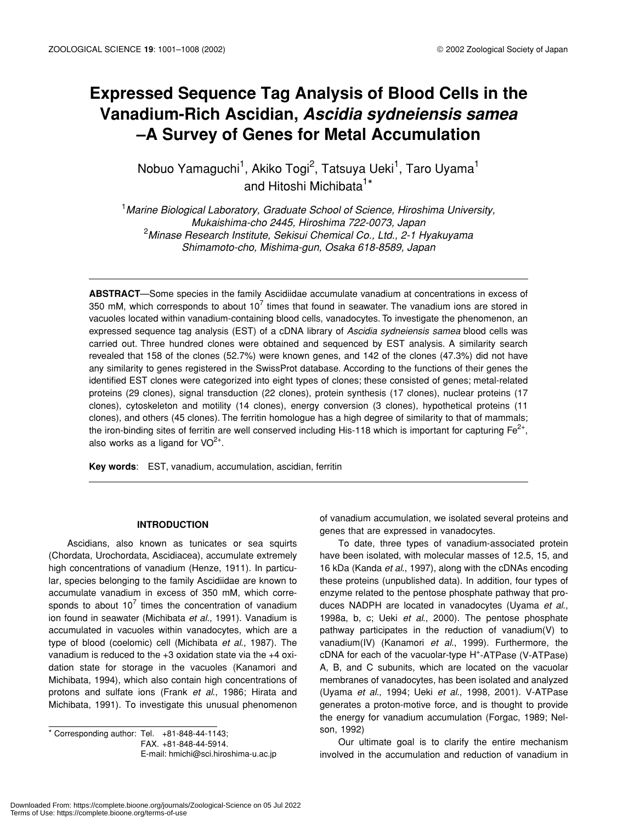## **Expressed Sequence Tag Analysis of Blood Cells in the Vanadium-Rich Ascidian,** *Ascidia sydneiensis samea* **–A Survey of Genes for Metal Accumulation**

Nobuo Yamaguchi<sup>1</sup>, Akiko Togi<sup>2</sup>, Tatsuya Ueki<sup>1</sup>, Taro Uyama<sup>1</sup> and Hitoshi Michibata<sup>1\*</sup>

1 *Marine Biological Laboratory, Graduate School of Science, Hiroshima University, Mukaishima-cho 2445, Hiroshima 722-0073, Japan* 2 *Minase Research Institute, Sekisui Chemical Co., Ltd., 2-1 Hyakuyama Shimamoto-cho, Mishima-gun, Osaka 618-8589, Japan*

**ABSTRACT**—Some species in the family Ascidiidae accumulate vanadium at concentrations in excess of 350 mM, which corresponds to about 10<sup>7</sup> times that found in seawater. The vanadium ions are stored in vacuoles located within vanadium-containing blood cells, vanadocytes. To investigate the phenomenon, an expressed sequence tag analysis (EST) of a cDNA library of *Ascidia sydneiensis samea* blood cells was carried out. Three hundred clones were obtained and sequenced by EST analysis. A similarity search revealed that 158 of the clones (52.7%) were known genes, and 142 of the clones (47.3%) did not have any similarity to genes registered in the SwissProt database. According to the functions of their genes the identified EST clones were categorized into eight types of clones; these consisted of genes; metal-related proteins (29 clones), signal transduction (22 clones), protein synthesis (17 clones), nuclear proteins (17 clones), cytoskeleton and motility (14 clones), energy conversion (3 clones), hypothetical proteins (11 clones), and others (45 clones). The ferritin homologue has a high degree of similarity to that of mammals; the iron-binding sites of ferritin are well conserved including His-118 which is important for capturing  $Fe<sup>2+</sup>$ , also works as a ligand for  $VO^{2+}$ .

**Key words**: EST, vanadium, accumulation, ascidian, ferritin

### **INTRODUCTION**

Ascidians, also known as tunicates or sea squirts (Chordata, Urochordata, Ascidiacea), accumulate extremely high concentrations of vanadium (Henze, 1911). In particular, species belonging to the family Ascidiidae are known to accumulate vanadium in excess of 350 mM, which corresponds to about 10<sup>7</sup> times the concentration of vanadium ion found in seawater (Michibata *et al.*, 1991). Vanadium is accumulated in vacuoles within vanadocytes, which are a type of blood (coelomic) cell (Michibata *et al*., 1987). The vanadium is reduced to the +3 oxidation state via the +4 oxidation state for storage in the vacuoles (Kanamori and Michibata, 1994), which also contain high concentrations of protons and sulfate ions (Frank *et al*., 1986; Hirata and Michibata, 1991). To investigate this unusual phenomenon

 $*$  Corresponding author: Tel.  $+81-848-44-1143$ ; FAX. +81-848-44-5914. E-mail: hmichi@sci.hiroshima-u.ac.jp of vanadium accumulation, we isolated several proteins and genes that are expressed in vanadocytes.

To date, three types of vanadium-associated protein have been isolated, with molecular masses of 12.5, 15, and 16 kDa (Kanda *et al*., 1997), along with the cDNAs encoding these proteins (unpublished data). In addition, four types of enzyme related to the pentose phosphate pathway that produces NADPH are located in vanadocytes (Uyama *et al*., 1998a, b, c; Ueki *et al*., 2000). The pentose phosphate pathway participates in the reduction of vanadium(V) to vanadium(IV) (Kanamori *et al*., 1999). Furthermore, the cDNA for each of the vacuolar-type H<sup>+</sup>-ATPase (V-ATPase) A, B, and C subunits, which are located on the vacuolar membranes of vanadocytes, has been isolated and analyzed (Uyama *et al*., 1994; Ueki *et al*., 1998, 2001). V-ATPase generates a proton-motive force, and is thought to provide the energy for vanadium accumulation (Forgac, 1989; Nelson, 1992)

Our ultimate goal is to clarify the entire mechanism involved in the accumulation and reduction of vanadium in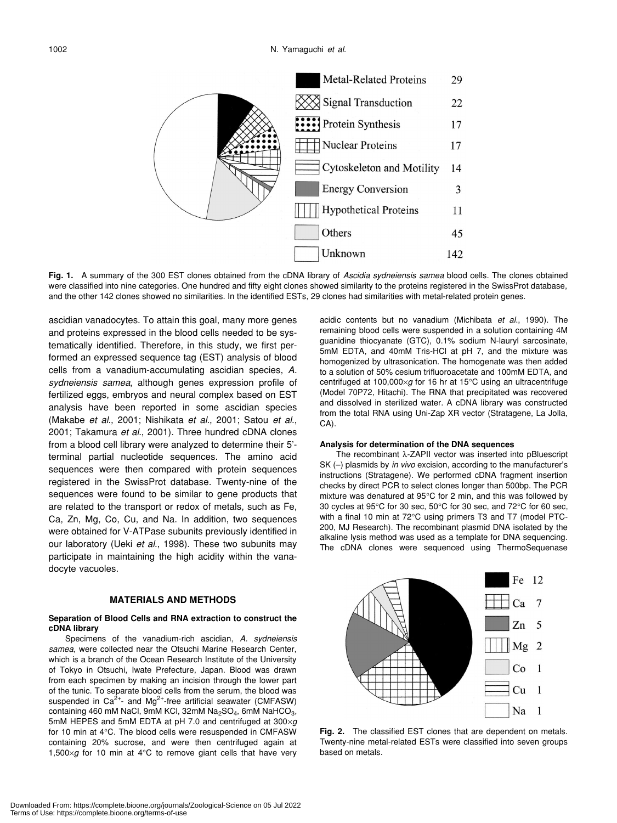

**Fig. 1.** A summary of the 300 EST clones obtained from the cDNA library of *Ascidia sydneiensis samea* blood cells. The clones obtained were classified into nine categories. One hundred and fifty eight clones showed similarity to the proteins registered in the SwissProt database, and the other 142 clones showed no similarities. In the identified ESTs, 29 clones had similarities with metal-related protein genes.

ascidian vanadocytes. To attain this goal, many more genes and proteins expressed in the blood cells needed to be systematically identified. Therefore, in this study, we first performed an expressed sequence tag (EST) analysis of blood cells from a vanadium-accumulating ascidian species, *A. sydneiensis samea*, although genes expression profile of fertilized eggs, embryos and neural complex based on EST analysis have been reported in some ascidian species (Makabe *et al*., 2001; Nishikata *et al*., 2001; Satou *et al*., 2001; Takamura *et al*., 2001). Three hundred cDNA clones from a blood cell library were analyzed to determine their 5' terminal partial nucleotide sequences. The amino acid sequences were then compared with protein sequences registered in the SwissProt database. Twenty-nine of the sequences were found to be similar to gene products that are related to the transport or redox of metals, such as Fe, Ca, Zn, Mg, Co, Cu, and Na. In addition, two sequences were obtained for V-ATPase subunits previously identified in our laboratory (Ueki *et al*., 1998). These two subunits may participate in maintaining the high acidity within the vanadocyte vacuoles.

## **MATERIALS AND METHODS**

#### **Separation of Blood Cells and RNA extraction to construct the cDNA library**

Specimens of the vanadium-rich ascidian, *A. sydneiensis samea*, were collected near the Otsuchi Marine Research Center, which is a branch of the Ocean Research Institute of the University of Tokyo in Otsuchi, Iwate Prefecture, Japan. Blood was drawn from each specimen by making an incision through the lower part of the tunic. To separate blood cells from the serum, the blood was suspended in  $Ca^{2+}$ - and Mg<sup>2+</sup>-free artificial seawater (CMFASW) containing 460 mM NaCl, 9mM KCl, 32mM Na<sub>2</sub>SO<sub>4</sub>, 6mM NaHCO<sub>3</sub>, 5mM HEPES and 5mM EDTA at pH 7.0 and centrifuged at 300×*g* for 10 min at 4°C. The blood cells were resuspended in CMFASW containing 20% sucrose, and were then centrifuged again at 1,500×*g* for 10 min at 4°C to remove giant cells that have very acidic contents but no vanadium (Michibata *et al*., 1990). The remaining blood cells were suspended in a solution containing 4M guanidine thiocyanate (GTC), 0.1% sodium N-lauryl sarcosinate, 5mM EDTA, and 40mM Tris-HCl at pH 7, and the mixture was homogenized by ultrasonication. The homogenate was then added to a solution of 50% cesium trifluoroacetate and 100mM EDTA, and centrifuged at 100,000×*g* for 16 hr at 15°C using an ultracentrifuge (Model 70P72, Hitachi). The RNA that precipitated was recovered and dissolved in sterilized water. A cDNA library was constructed from the total RNA using Uni-Zap XR vector (Stratagene, La Jolla, CA).

#### **Analysis for determination of the DNA sequences**

The recombinant λ-ZAPII vector was inserted into pBluescript SK (–) plasmids by *in vivo* excision, according to the manufacturer's instructions (Stratagene). We performed cDNA fragment insertion checks by direct PCR to select clones longer than 500bp. The PCR mixture was denatured at 95°C for 2 min, and this was followed by 30 cycles at 95°C for 30 sec, 50°C for 30 sec, and 72°C for 60 sec, with a final 10 min at 72°C using primers T3 and T7 (model PTC-200, MJ Research). The recombinant plasmid DNA isolated by the alkaline lysis method was used as a template for DNA sequencing. The cDNA clones were sequenced using ThermoSequenase



**Fig. 2.** The classified EST clones that are dependent on metals. Twenty-nine metal-related ESTs were classified into seven groups based on metals.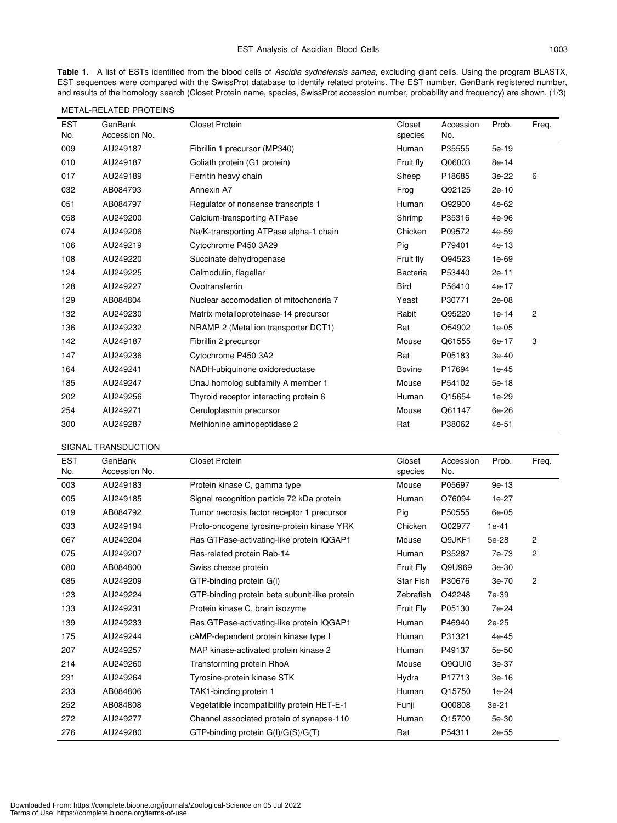**Table 1.** A list of ESTs identified from the blood cells of *Ascidia sydneiensis samea*, excluding giant cells. Using the program BLASTX, EST sequences were compared with the SwissProt database to identify related proteins. The EST number, GenBank registered number, and results of the homology search (Closet Protein name, species, SwissProt accession number, probability and frequency) are shown. (1/3)

| <b>EST</b> | GenBank       | <b>Closet Protein</b>                  | Closet          | Accession | Prob.   | Freq. |
|------------|---------------|----------------------------------------|-----------------|-----------|---------|-------|
| No.        | Accession No. |                                        | species         | No.       |         |       |
| 009        | AU249187      | Fibrillin 1 precursor (MP340)          | Human           | P35555    | 5e-19   |       |
| 010        | AU249187      | Goliath protein (G1 protein)           | Fruit fly       | Q06003    | 8e-14   |       |
| 017        | AU249189      | Ferritin heavy chain                   | Sheep           | P18685    | 3e-22   | 6     |
| 032        | AB084793      | Annexin A7                             | Frog            | Q92125    | 2e-10   |       |
| 051        | AB084797      | Regulator of nonsense transcripts 1    | Human           | Q92900    | 4e-62   |       |
| 058        | AU249200      | Calcium-transporting ATPase            | Shrimp          | P35316    | 4e-96   |       |
| 074        | AU249206      | Na/K-transporting ATPase alpha-1 chain | Chicken         | P09572    | 4e-59   |       |
| 106        | AU249219      | Cytochrome P450 3A29                   | Pig             | P79401    | $4e-13$ |       |
| 108        | AU249220      | Succinate dehydrogenase                | Fruit fly       | Q94523    | 1e-69   |       |
| 124        | AU249225      | Calmodulin, flagellar                  | <b>Bacteria</b> | P53440    | 2e-11   |       |
| 128        | AU249227      | Ovotransferrin                         | <b>Bird</b>     | P56410    | 4e-17   |       |
| 129        | AB084804      | Nuclear accomodation of mitochondria 7 | Yeast           | P30771    | 2e-08   |       |
| 132        | AU249230      | Matrix metalloproteinase-14 precursor  | Rabit           | Q95220    | $1e-14$ | 2     |
| 136        | AU249232      | NRAMP 2 (Metal ion transporter DCT1)   | Rat             | O54902    | $1e-05$ |       |
| 142        | AU249187      | Fibrillin 2 precursor                  | Mouse           | Q61555    | 6e-17   | 3     |
| 147        | AU249236      | Cytochrome P450 3A2                    | Rat             | P05183    | 3e-40   |       |
| 164        | AU249241      | NADH-ubiquinone oxidoreductase         | <b>Bovine</b>   | P17694    | $1e-45$ |       |
| 185        | AU249247      | DnaJ homolog subfamily A member 1      | Mouse           | P54102    | 5e-18   |       |
| 202        | AU249256      | Thyroid receptor interacting protein 6 | Human           | Q15654    | 1e-29   |       |
| 254        | AU249271      | Ceruloplasmin precursor                | Mouse           | Q61147    | 6e-26   |       |
| 300        | AU249287      | Methionine aminopeptidase 2            | Rat             | P38062    | 4e-51   |       |

METAL-RELATED PROTEINS

SIGNAL TRANSDUCTION

| <b>EST</b> | GenBank       | <b>Closet Protein</b>                         | Closet    | Accession | Prob.   | Freq.          |
|------------|---------------|-----------------------------------------------|-----------|-----------|---------|----------------|
| No.        | Accession No. |                                               | species   | No.       |         |                |
| 003        | AU249183      | Protein kinase C, gamma type                  | Mouse     | P05697    | $9e-13$ |                |
| 005        | AU249185      | Signal recognition particle 72 kDa protein    | Human     | O76094    | 1e-27   |                |
| 019        | AB084792      | Tumor necrosis factor receptor 1 precursor    | Pig       | P50555    | 6e-05   |                |
| 033        | AU249194      | Proto-oncogene tyrosine-protein kinase YRK    | Chicken   | Q02977    | $1e-41$ |                |
| 067        | AU249204      | Ras GTPase-activating-like protein IQGAP1     | Mouse     | Q9JKF1    | 5e-28   | 2              |
| 075        | AU249207      | Ras-related protein Rab-14                    | Human     | P35287    | 7e-73   | 2              |
| 080        | AB084800      | Swiss cheese protein                          | Fruit Fly | Q9U969    | $3e-30$ |                |
| 085        | AU249209      | GTP-binding protein G(i)                      | Star Fish | P30676    | 3e-70   | $\overline{2}$ |
| 123        | AU249224      | GTP-binding protein beta subunit-like protein | Zebrafish | O42248    | 7e-39   |                |
| 133        | AU249231      | Protein kinase C, brain isozyme               | Fruit Fly | P05130    | 7e-24   |                |
| 139        | AU249233      | Ras GTPase-activating-like protein IQGAP1     | Human     | P46940    | 2e-25   |                |
| 175        | AU249244      | cAMP-dependent protein kinase type I          | Human     | P31321    | 4e-45   |                |
| 207        | AU249257      | MAP kinase-activated protein kinase 2         | Human     | P49137    | 5e-50   |                |
| 214        | AU249260      | Transforming protein RhoA                     | Mouse     | Q9QUI0    | 3e-37   |                |
| 231        | AU249264      | Tyrosine-protein kinase STK                   | Hydra     | P17713    | 3e-16   |                |
| 233        | AB084806      | TAK1-binding protein 1                        | Human     | Q15750    | 1e-24   |                |
| 252        | AB084808      | Vegetatible incompatibility protein HET-E-1   | Funji     | Q00808    | 3e-21   |                |
| 272        | AU249277      | Channel associated protein of synapse-110     | Human     | Q15700    | 5e-30   |                |
| 276        | AU249280      | GTP-binding protein G(I)/G(S)/G(T)            | Rat       | P54311    | 2e-55   |                |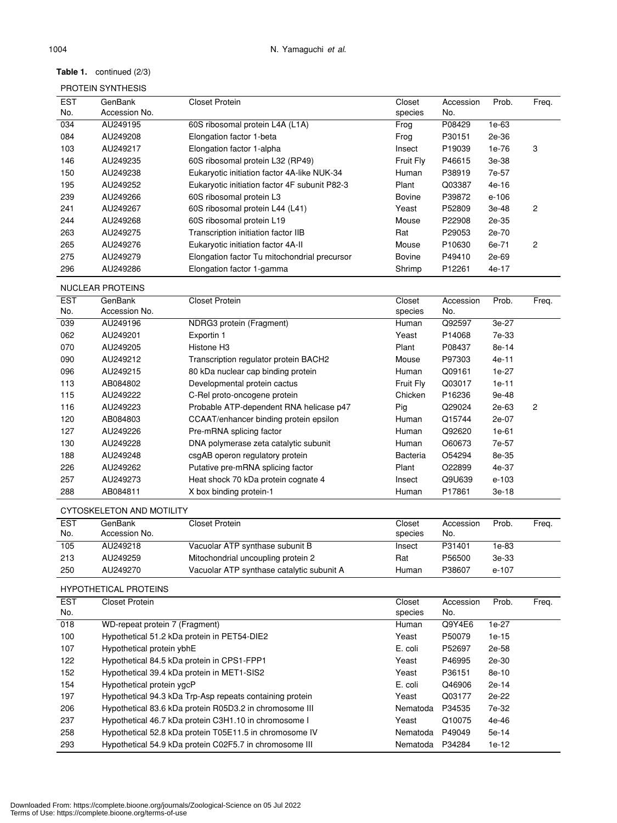## **Table 1.** continued (2/3)

## PROTEIN SYNTHESIS

| <b>EST</b> | GenBank                 | Closet Protein                                | Closet        | Accession | Prob.   | Freq. |
|------------|-------------------------|-----------------------------------------------|---------------|-----------|---------|-------|
| No.        | Accession No.           |                                               | species       | No.       |         |       |
| 034        | AU249195                | 60S ribosomal protein L4A (L1A)               | Frog          | P08429    | 1e-63   |       |
| 084        | AU249208                | Elongation factor 1-beta                      | Frog          | P30151    | 2e-36   |       |
| 103        | AU249217                | Elongation factor 1-alpha                     | Insect        | P19039    | 1e-76   | 3     |
| 146        | AU249235                | 60S ribosomal protein L32 (RP49)              | Fruit Fly     | P46615    | 3e-38   |       |
| 150        | AU249238                | Eukaryotic initiation factor 4A-like NUK-34   | Human         | P38919    | 7e-57   |       |
| 195        | AU249252                | Eukaryotic initiation factor 4F subunit P82-3 | Plant         | Q03387    | $4e-16$ |       |
| 239        | AU249266                | 60S ribosomal protein L3                      | <b>Bovine</b> | P39872    | $e-106$ |       |
| 241        | AU249267                | 60S ribosomal protein L44 (L41)               | Yeast         | P52809    | 3e-48   | 2     |
| 244        | AU249268                | 60S ribosomal protein L19                     | Mouse         | P22908    | 2e-35   |       |
| 263        | AU249275                | Transcription initiation factor IIB           | Rat           | P29053    | 2e-70   |       |
| 265        | AU249276                | Eukaryotic initiation factor 4A-II            | Mouse         | P10630    | 6e-71   | 2     |
| 275        | AU249279                | Elongation factor Tu mitochondrial precursor  | <b>Bovine</b> | P49410    | 2e-69   |       |
| 296        | AU249286                | Elongation factor 1-gamma                     | Shrimp        | P12261    | 4e-17   |       |
|            | <b>NUCLEAR PROTEINS</b> |                                               |               |           |         |       |

| <b>EST</b> | GenBank       | <b>Closet Protein</b>                   | Closet          | Accession | Prob.   | Freq. |
|------------|---------------|-----------------------------------------|-----------------|-----------|---------|-------|
| No.        | Accession No. |                                         | species         | No.       |         |       |
| 039        | AU249196      | NDRG3 protein (Fragment)                | Human           | Q92597    | 3e-27   |       |
| 062        | AU249201      | Exportin 1                              | Yeast           | P14068    | 7e-33   |       |
| 070        | AU249205      | Histone H <sub>3</sub>                  | Plant           | P08437    | 8e-14   |       |
| 090        | AU249212      | Transcription regulator protein BACH2   | Mouse           | P97303    | $4e-11$ |       |
| 096        | AU249215      | 80 kDa nuclear cap binding protein      | Human           | Q09161    | 1e-27   |       |
| 113        | AB084802      | Developmental protein cactus            | Fruit Fly       | Q03017    | $1e-11$ |       |
| 115        | AU249222      | C-Rel proto-oncogene protein            | Chicken         | P16236    | 9e-48   |       |
| 116        | AU249223      | Probable ATP-dependent RNA helicase p47 | Pig             | Q29024    | 2e-63   | 2     |
| 120        | AB084803      | CCAAT/enhancer binding protein epsilon  | Human           | Q15744    | 2e-07   |       |
| 127        | AU249226      | Pre-mRNA splicing factor                | Human           | Q92620    | $1e-61$ |       |
| 130        | AU249228      | DNA polymerase zeta catalytic subunit   | Human           | O60673    | 7e-57   |       |
| 188        | AU249248      | csgAB operon regulatory protein         | <b>Bacteria</b> | O54294    | 8e-35   |       |
| 226        | AU249262      | Putative pre-mRNA splicing factor       | Plant           | O22899    | 4e-37   |       |
| 257        | AU249273      | Heat shock 70 kDa protein cognate 4     | Insect          | Q9U639    | e-103   |       |
| 288        | AB084811      | X box binding protein-1                 | Human           | P17861    | 3e-18   |       |

## CYTOSKELETON AND MOTILITY

| <b>EST</b><br>No. | GenBank<br>Accession No. | Closet Protein                            | Closet<br>species | Accession<br>No. | Prob. | Freg. |
|-------------------|--------------------------|-------------------------------------------|-------------------|------------------|-------|-------|
| 105               | AU249218                 | Vacuolar ATP synthase subunit B           | Insect            | P31401           | 1e-83 |       |
| 213               | AU249259                 | Mitochondrial uncoupling protein 2        | Rat               | P56500           | 3e-33 |       |
| 250               | AU249270                 | Vacuolar ATP synthase catalytic subunit A | Human             | P38607           | e-107 |       |

## HYPOTHETICAL PROTEINS

| <b>EST</b> | <b>Closet Protein</b>                                    | Closet   | Accession | Prob.   | Freq. |
|------------|----------------------------------------------------------|----------|-----------|---------|-------|
| No.        |                                                          | species  | No.       |         |       |
| 018        | WD-repeat protein 7 (Fragment)                           | Human    | Q9Y4E6    | 1e-27   |       |
| 100        | Hypothetical 51.2 kDa protein in PET54-DIE2              | Yeast    | P50079    | 1e-15   |       |
| 107        | Hypothetical protein ybhE                                | E. coli  | P52697    | 2e-58   |       |
| 122        | Hypothetical 84.5 kDa protein in CPS1-FPP1               | Yeast    | P46995    | 2e-30   |       |
| 152        | Hypothetical 39.4 kDa protein in MET1-SIS2               | Yeast    | P36151    | 8e-10   |       |
| 154        | Hypothetical protein ygcP                                | E. coli  | Q46906    | $2e-14$ |       |
| 197        | Hypothetical 94.3 kDa Trp-Asp repeats containing protein | Yeast    | Q03177    | 2e-22   |       |
| 206        | Hypothetical 83.6 kDa protein R05D3.2 in chromosome III  | Nematoda | P34535    | 7e-32   |       |
| 237        | Hypothetical 46.7 kDa protein C3H1.10 in chromosome I    | Yeast    | Q10075    | 4e-46   |       |
| 258        | Hypothetical 52.8 kDa protein T05E11.5 in chromosome IV  | Nematoda | P49049    | 5e-14   |       |
| 293        | Hypothetical 54.9 kDa protein C02F5.7 in chromosome III  | Nematoda | P34284    | $1e-12$ |       |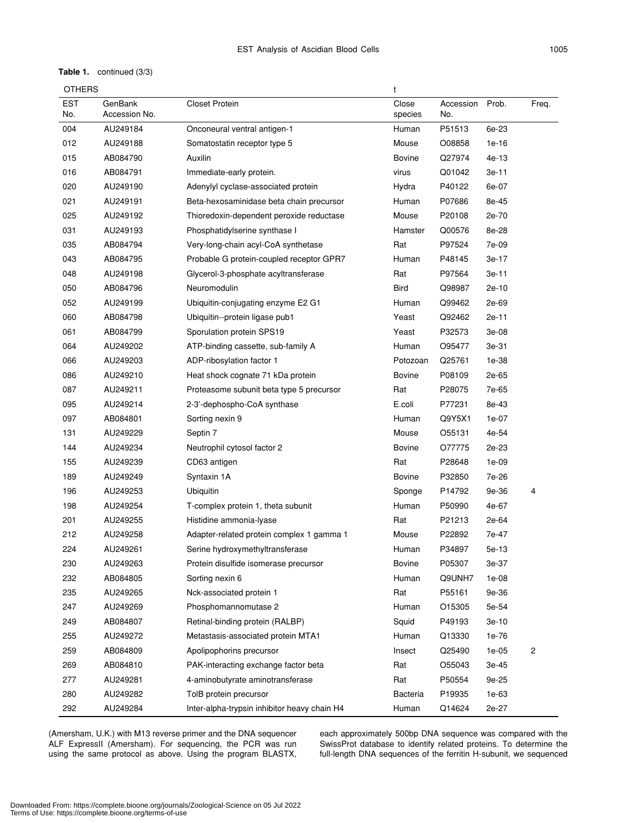## **Table 1.** continued (3/3)

|  | <b>OTHERS</b> |
|--|---------------|
|--|---------------|

| OTHERS            |                          |                                              | t                |                  |         |       |
|-------------------|--------------------------|----------------------------------------------|------------------|------------------|---------|-------|
| <b>EST</b><br>No. | GenBank<br>Accession No. | Closet Protein                               | Close<br>species | Accession<br>No. | Prob.   | Freq. |
| 004               | AU249184                 | Onconeural ventral antigen-1                 | Human            | P51513           | 6e-23   |       |
| 012               | AU249188                 | Somatostatin receptor type 5                 | Mouse            | O08858           | $1e-16$ |       |
| 015               | AB084790                 | Auxilin                                      | <b>Bovine</b>    | Q27974           | 4e-13   |       |
| 016               | AB084791                 | Immediate-early protein.                     | virus            | Q01042           | 3e-11   |       |
| 020               | AU249190                 | Adenylyl cyclase-associated protein          | Hydra            | P40122           | 6e-07   |       |
| 021               | AU249191                 | Beta-hexosaminidase beta chain precursor     | Human            | P07686           | 8e-45   |       |
| 025               | AU249192                 | Thioredoxin-dependent peroxide reductase     | Mouse            | P20108           | 2e-70   |       |
| 031               | AU249193                 | Phosphatidylserine synthase I                | Hamster          | Q00576           | 8e-28   |       |
| 035               | AB084794                 | Very-long-chain acyl-CoA synthetase          | Rat              | P97524           | 7e-09   |       |
| 043               | AB084795                 | Probable G protein-coupled receptor GPR7     | Human            | P48145           | 3e-17   |       |
| 048               | AU249198                 | Glycerol-3-phosphate acyltransferase         | Rat              | P97564           | 3e-11   |       |
| 050               | AB084796                 | Neuromodulin                                 | Bird             | Q98987           | 2e-10   |       |
| 052               | AU249199                 | Ubiquitin-conjugating enzyme E2 G1           | Human            | Q99462           | 2e-69   |       |
| 060               | AB084798                 | Ubiquitin--protein ligase pub1               | Yeast            | Q92462           | 2e-11   |       |
| 061               | AB084799                 | Sporulation protein SPS19                    | Yeast            | P32573           | 3e-08   |       |
| 064               | AU249202                 | ATP-binding cassette, sub-family A           | Human            | O95477           | 3e-31   |       |
| 066               | AU249203                 | ADP-ribosylation factor 1                    | Potozoan         | Q25761           | 1e-38   |       |
| 086               | AU249210                 | Heat shock cognate 71 kDa protein            | <b>Bovine</b>    | P08109           | 2e-65   |       |
| 087               | AU249211                 | Proteasome subunit beta type 5 precursor     | Rat              | P28075           | 7e-65   |       |
| 095               | AU249214                 | 2-3'-dephospho-CoA synthase                  | E.coli           | P77231           | 8e-43   |       |
| 097               | AB084801                 | Sorting nexin 9                              | Human            | Q9Y5X1           | 1e-07   |       |
| 131               | AU249229                 | Septin 7                                     | Mouse            | O55131           | 4e-54   |       |
| 144               | AU249234                 | Neutrophil cytosol factor 2                  | Bovine           | O77775           | 2e-23   |       |
| 155               | AU249239                 | CD63 antigen                                 | Rat              | P28648           | $1e-09$ |       |
| 189               | AU249249                 | Syntaxin 1A                                  | <b>Bovine</b>    | P32850           | 7e-26   |       |
| 196               | AU249253                 | Ubiquitin                                    | Sponge           | P14792           | 9e-36   | 4     |
| 198               | AU249254                 | T-complex protein 1, theta subunit           | Human            | P50990           | 4e-67   |       |
| 201               | AU249255                 | Histidine ammonia-Ivase                      | Rat              | P21213           | 2e-64   |       |
| 212               | AU249258                 | Adapter-related protein complex 1 gamma 1    | Mouse            | P22892           | 7e-47   |       |
| 224               | AU249261                 | Serine hydroxymethyltransferase              | Human            | P34897           | 5e-13   |       |
| 230               | AU249263                 | Protein disulfide isomerase precursor        | Bovine           | P05307           | 3e-37   |       |
| 232               | AB084805                 | Sorting nexin 6                              | Human            | Q9UNH7           | $1e-08$ |       |
| 235               | AU249265                 | Nck-associated protein 1                     | Rat              | P55161           | 9e-36   |       |
| 247               | AU249269                 | Phosphomannomutase 2                         | Human            | O15305           | 5e-54   |       |
| 249               | AB084807                 | Retinal-binding protein (RALBP)              | Squid            | P49193           | 3e-10   |       |
| 255               | AU249272                 | Metastasis-associated protein MTA1           | Human            | Q13330           | 1e-76   |       |
| 259               | AB084809                 | Apolipophorins precursor                     | Insect           | Q25490           | $1e-05$ | 2     |
| 269               | AB084810                 | PAK-interacting exchange factor beta         | Rat              | O55043           | 3e-45   |       |
| 277               | AU249281                 | 4-aminobutyrate aminotransferase             | Rat              | P50554           | 9e-25   |       |
| 280               | AU249282                 | TolB protein precursor                       | <b>Bacteria</b>  | P19935           | $1e-63$ |       |
| 292               | AU249284                 | Inter-alpha-trypsin inhibitor heavy chain H4 | Human            | Q14624           | 2e-27   |       |

(Amersham, U.K.) with M13 reverse primer and the DNA sequencer ALF ExpressII (Amersham). For sequencing, the PCR was run using the same protocol as above. Using the program BLASTX,

each approximately 500bp DNA sequence was compared with the SwissProt database to identify related proteins. To determine the full-length DNA sequences of the ferritin H-subunit, we sequenced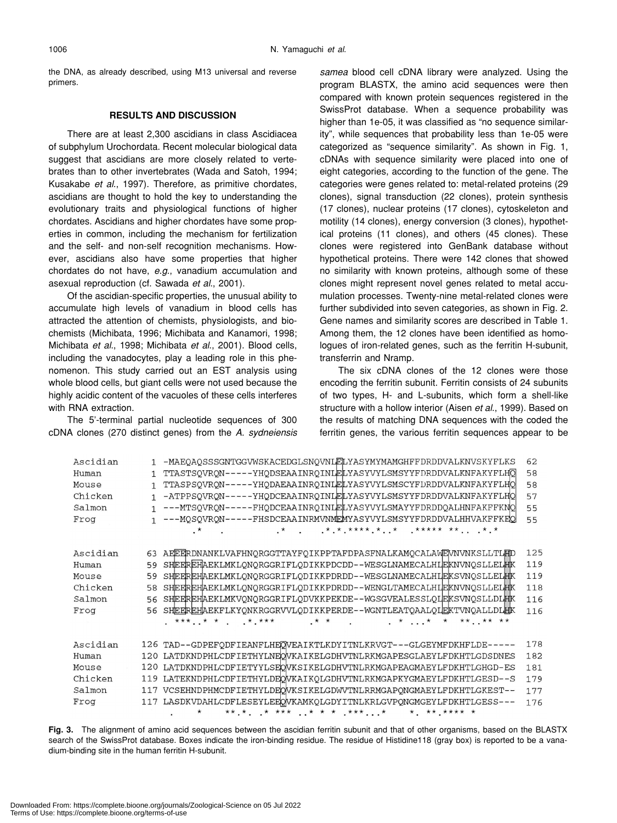the DNA, as already described, using M13 universal and reverse primers.

## **RESULTS AND DISCUSSION**

There are at least 2,300 ascidians in class Ascidiacea of subphylum Urochordata. Recent molecular biological data suggest that ascidians are more closely related to vertebrates than to other invertebrates (Wada and Satoh, 1994; Kusakabe *et al*., 1997). Therefore, as primitive chordates, ascidians are thought to hold the key to understanding the evolutionary traits and physiological functions of higher chordates. Ascidians and higher chordates have some properties in common, including the mechanism for fertilization and the self- and non-self recognition mechanisms. However, ascidians also have some properties that higher chordates do not have, *e*.*g*., vanadium accumulation and asexual reproduction (cf. Sawada *et al*., 2001).

Of the ascidian-specific properties, the unusual ability to accumulate high levels of vanadium in blood cells has attracted the attention of chemists, physiologists, and biochemists (Michibata, 1996; Michibata and Kanamori, 1998; Michibata *et al*., 1998; Michibata *et al*., 2001). Blood cells, including the vanadocytes, play a leading role in this phenomenon. This study carried out an EST analysis using whole blood cells, but giant cells were not used because the highly acidic content of the vacuoles of these cells interferes with RNA extraction.

The 5'-terminal partial nucleotide sequences of 300 cDNA clones (270 distinct genes) from the *A. sydneiensis* *samea* blood cell cDNA library were analyzed. Using the program BLASTX, the amino acid sequences were then compared with known protein sequences registered in the SwissProt database. When a sequence probability was higher than 1e-05, it was classified as "no sequence similarity", while sequences that probability less than 1e-05 were categorized as "sequence similarity". As shown in Fig. 1, cDNAs with sequence similarity were placed into one of eight categories, according to the function of the gene. The categories were genes related to: metal-related proteins (29 clones), signal transduction (22 clones), protein synthesis (17 clones), nuclear proteins (17 clones), cytoskeleton and motility (14 clones), energy conversion (3 clones), hypothetical proteins (11 clones), and others (45 clones). These clones were registered into GenBank database without hypothetical proteins. There were 142 clones that showed no similarity with known proteins, although some of these clones might represent novel genes related to metal accumulation processes. Twenty-nine metal-related clones were further subdivided into seven categories, as shown in Fig. 2. Gene names and similarity scores are described in Table 1. Among them, the 12 clones have been identified as homologues of iron-related genes, such as the ferritin H-subunit, transferrin and Nramp.

The six cDNA clones of the 12 clones were those encoding the ferritin subunit. Ferritin consists of 24 subunits of two types, H- and L-subunits, which form a shell-like structure with a hollow interior (Aisen *et al*., 1999). Based on the results of matching DNA sequences with the coded the ferritin genes, the various ferritin sequences appear to be

| Ascidian |              | -MAEQAQSSSGNTGGVWSKACEDGLSNQVNLELYASYMYMAMGHFFDRDDVALKNVSKYFLKS                              | 62  |
|----------|--------------|----------------------------------------------------------------------------------------------|-----|
| Human    | $\mathbf{1}$ | TTASTSOVRON-----YHODSEAAINROINLELYASYVYLSMSYYFDRDDVALKNFAKYFLHO                              | 58  |
| Mouse    |              | TTASPSOVRON-----YHODAEAAINROINLELYASYVYLSMSCYFDRDDVALKNFAKYFLHO                              | 58  |
| Chicken  | 1            | -ATPPSQVRQN-----YHQDCEAAINRQINLELYASYVYLSMSYYFDRDDVALKNFAKYFLHQ                              | 57  |
| Salmon   | $\mathbf{1}$ | ---MTSOVRON-----FHODCEAAINROINLELYASYVYLSMAYYFDRDDOALHNFAKFFKNO                              | 55  |
| Frog     |              | ---MQSQVRQN-----FHSDCEAAINRMVNMEMYASYVYLSMSYYFDRDDVALHHVAKFFKEQ                              | 55  |
|          |              | $x^*$ , $x^*$ , $x^*$ , $x^*$ , $x^*$ , $x^*$ , $x^*$ , $x^*$ , $x^*$<br>$\star$ and $\star$ |     |
|          |              |                                                                                              |     |
| Ascidian | 63           | AFEERDNANKLVAFHNORGGTTAYFOIKPPTAFDPASFNALKAMOCALAWEWNVNKSLLTLED                              | 125 |
| Human    | 59           | SHEEREHAEKLMKLQNQRGGRIFLQDIKKPDCDD--WESGLNAMECALHLEKNVNQSLLELHK                              | 119 |
| Mouse    | 59           | SHEEREHAEKLMKLONORGGRIFLODIKKPDRDD--WESGLNAMECALHIEKSVNOSLLELHIK                             | 119 |
| Chicken  | 58           | SHEEREHAEKLMKLONORGGRIFLODIKKPDRDD--WENGLTAMECALHIEKNVNOSLLELHIK                             | 118 |
| Salmon   | 56           | SHEEREHAEKLMKVONORGGRIFLODVKKPEKDE--WGSGVEALESSLOIEKSVNOSLLDLHK                              | 116 |
| Frog     | 56           | SHEEREHAEKFLKYONKRGGRVVLODIKKPERDE--WGNTLEATOAALOIEKTVNOALLDLHK                              | 116 |
|          |              | $***$ ** **<br>$***$ $***$ $***$ $***$ $***$<br>$\cdot$ * $\cdot$ . * *                      |     |
|          |              |                                                                                              |     |
| Ascidian |              | 126 TAD--GDPEFODFIEANFLHEOVEAIKTLKDYITNLKRVGT---GLGEYMFDKHFLDE-----                          | 178 |
| Human    | 120          | LATDKNDPHLCDFIETHYLNEOVKAIKELGDHVTNLRKMGAPESGLAEYLFDKHTLGDSDNES                              | 182 |
| Mouse    | 120          | LATDKNDPHLCDFIETYYLSEOWKSIKELGDHVTNLRKMGAPEAGMAEYLFDKHTLGHGD-ES                              | 181 |
| Chicken  | 119          | LATEKNDPHLCDFIETHYLDEOVKAIKOLGDHVTNLRKMGAPKYGMAEYLFDKHTLGESD--S                              | 179 |
| Salmon   |              | 117 VCSEHNDPHMCDFIETHYLDEOWKSIKELGDWVTNLRRMGAPONGMAEYLFDKHTLGKEST--                          | 177 |
| Froq     | 117          | LASDKVDAHLCDFLESEYLEEOWKAMKOLGDYITNLKRLGVPONGMGEYLFDKHTLGESS---                              | 176 |
|          |              | **.** **** **** ****** *                                                                     |     |

**Fig. 3.** The alignment of amino acid sequences between the ascidian ferritin subunit and that of other organisms, based on the BLASTX search of the SwissProt database. Boxes indicate the iron-binding residue. The residue of Histidine118 (gray box) is reported to be a vanadium-binding site in the human ferritin H-subunit.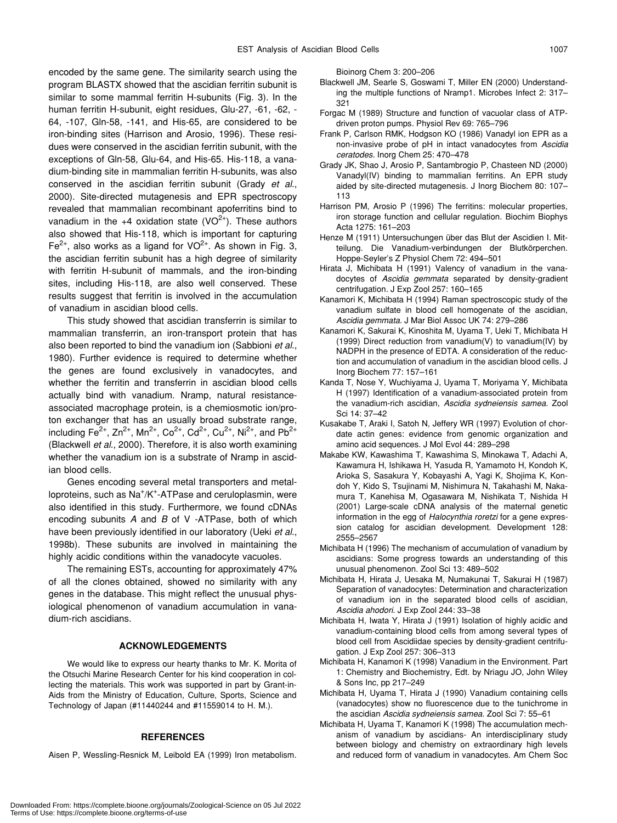encoded by the same gene. The similarity search using the program BLASTX showed that the ascidian ferritin subunit is similar to some mammal ferritin H-subunits (Fig. 3). In the human ferritin H-subunit, eight residues, Glu-27, -61, -62, - 64, -107, Gln-58, -141, and His-65, are considered to be iron-binding sites (Harrison and Arosio, 1996). These residues were conserved in the ascidian ferritin subunit, with the exceptions of Gln-58, Glu-64, and His-65. His-118, a vanadium-binding site in mammalian ferritin H-subunits, was also conserved in the ascidian ferritin subunit (Grady *et al*., 2000). Site-directed mutagenesis and EPR spectroscopy revealed that mammalian recombinant apoferritins bind to vanadium in the  $+4$  oxidation state (VO<sup>2+</sup>). These authors also showed that His-118, which is important for capturing Fe<sup>2+</sup>, also works as a ligand for  $VO^{2+}$ . As shown in Fig. 3, the ascidian ferritin subunit has a high degree of similarity with ferritin H-subunit of mammals, and the iron-binding sites, including His-118, are also well conserved. These results suggest that ferritin is involved in the accumulation of vanadium in ascidian blood cells.

This study showed that ascidian transferrin is similar to mammalian transferrin, an iron-transport protein that has also been reported to bind the vanadium ion (Sabbioni *et al*., 1980). Further evidence is required to determine whether the genes are found exclusively in vanadocytes, and whether the ferritin and transferrin in ascidian blood cells actually bind with vanadium. Nramp, natural resistanceassociated macrophage protein, is a chemiosmotic ion/proton exchanger that has an usually broad substrate range, including Fe<sup>2+</sup>, Zn<sup>2+</sup>, Mn<sup>2+</sup>, Co<sup>2+</sup>, Cd<sup>2+</sup>, Cu<sup>2+</sup>, Ni<sup>2+</sup>, and Pb<sup>2+</sup> (Blackwell *et al*., 2000). Therefore, it is also worth examining whether the vanadium ion is a substrate of Nramp in ascidian blood cells.

Genes encoding several metal transporters and metalloproteins, such as Na<sup>+</sup>/K<sup>+</sup>-ATPase and ceruloplasmin, were also identified in this study. Furthermore, we found cDNAs encoding subunits *A* and *B* of V -ATPase, both of which have been previously identified in our laboratory (Ueki *et al*., 1998b). These subunits are involved in maintaining the highly acidic conditions within the vanadocyte vacuoles.

The remaining ESTs, accounting for approximately 47% of all the clones obtained, showed no similarity with any genes in the database. This might reflect the unusual physiological phenomenon of vanadium accumulation in vanadium-rich ascidians.

## **ACKNOWLEDGEMENTS**

We would like to express our hearty thanks to Mr. K. Morita of the Otsuchi Marine Research Center for his kind cooperation in collecting the materials. This work was supported in part by Grant-in-Aids from the Ministry of Education, Culture, Sports, Science and Technology of Japan (#11440244 and #11559014 to H. M.).

#### **REFERENCES**

Aisen P, Wessling-Resnick M, Leibold EA (1999) Iron metabolism.

Bioinorg Chem 3: 200–206

- Blackwell JM, Searle S, Goswami T, Miller EN (2000) Understanding the multiple functions of Nramp1. Microbes Infect 2: 317– 321
- Forgac M (1989) Structure and function of vacuolar class of ATPdriven proton pumps. Physiol Rev 69: 765–796
- Frank P, Carlson RMK, Hodgson KO (1986) Vanadyl ion EPR as a non-invasive probe of pH in intact vanadocytes from *Ascidia ceratodes*. Inorg Chem 25: 470–478
- Grady JK, Shao J, Arosio P, Santambrogio P, Chasteen ND (2000) Vanadyl(IV) binding to mammalian ferritins. An EPR study aided by site-directed mutagenesis. J Inorg Biochem 80: 107– 113
- Harrison PM, Arosio P (1996) The ferritins: molecular properties, iron storage function and cellular regulation. Biochim Biophys Acta 1275: 161–203
- Henze M (1911) Untersuchungen über das Blut der Ascidien I. Mitteilung. Die Vanadium-verbindungen der Blutkörperchen. Hoppe-Seyler's Z Physiol Chem 72: 494–501
- Hirata J, Michibata H (1991) Valency of vanadium in the vanadocytes of *Ascidia gemmata* separated by density-gradient centrifugation. J Exp Zool 257: 160–165
- Kanamori K, Michibata H (1994) Raman spectroscopic study of the vanadium sulfate in blood cell homogenate of the ascidian, *Ascidia gemmata.* J Mar Biol Assoc UK 74: 279–286
- Kanamori K, Sakurai K, Kinoshita M, Uyama T, Ueki T, Michibata H (1999) Direct reduction from vanadium(V) to vanadium(IV) by NADPH in the presence of EDTA. A consideration of the reduction and accumulation of vanadium in the ascidian blood cells. J Inorg Biochem 77: 157–161
- Kanda T, Nose Y, Wuchiyama J, Uyama T, Moriyama Y, Michibata H (1997) Identification of a vanadium-associated protein from the vanadium-rich ascidian, *Ascidia sydneiensis samea*. Zool Sci 14: 37–42
- Kusakabe T, Araki I, Satoh N, Jeffery WR (1997) Evolution of chordate actin genes: evidence from genomic organization and amino acid sequences. J Mol Evol 44: 289–298
- Makabe KW, Kawashima T, Kawashima S, Minokawa T, Adachi A, Kawamura H, Ishikawa H, Yasuda R, Yamamoto H, Kondoh K, Arioka S, Sasakura Y, Kobayashi A, Yagi K, Shojima K, Kondoh Y, Kido S, Tsujinami M, Nishimura N, Takahashi M, Nakamura T, Kanehisa M, Ogasawara M, Nishikata T, Nishida H (2001) Large-scale cDNA analysis of the maternal genetic information in the egg of *Halocynthia roretzi* for a gene expression catalog for ascidian development. Development 128: 2555–2567
- Michibata H (1996) The mechanism of accumulation of vanadium by ascidians: Some progress towards an understanding of this unusual phenomenon. Zool Sci 13: 489–502
- Michibata H, Hirata J, Uesaka M, Numakunai T, Sakurai H (1987) Separation of vanadocytes: Determination and characterization of vanadium ion in the separated blood cells of ascidian, *Ascidia ahodori*. J Exp Zool 244: 33–38
- Michibata H, Iwata Y, Hirata J (1991) Isolation of highly acidic and vanadium-containing blood cells from among several types of blood cell from Ascidiidae species by density-gradient centrifugation. J Exp Zool 257: 306–313
- Michibata H, Kanamori K (1998) Vanadium in the Environment. Part 1: Chemistry and Biochemistry, Edt. by Nriagu JO, John Wiley & Sons Inc, pp 217–249
- Michibata H, Uyama T, Hirata J (1990) Vanadium containing cells (vanadocytes) show no fluorescence due to the tunichrome in the ascidian *Ascidia sydneiensis samea*. Zool Sci 7: 55–61
- Michibata H, Uyama T, Kanamori K (1998) The accumulation mechanism of vanadium by ascidians- An interdisciplinary study between biology and chemistry on extraordinary high levels and reduced form of vanadium in vanadocytes. Am Chem Soc